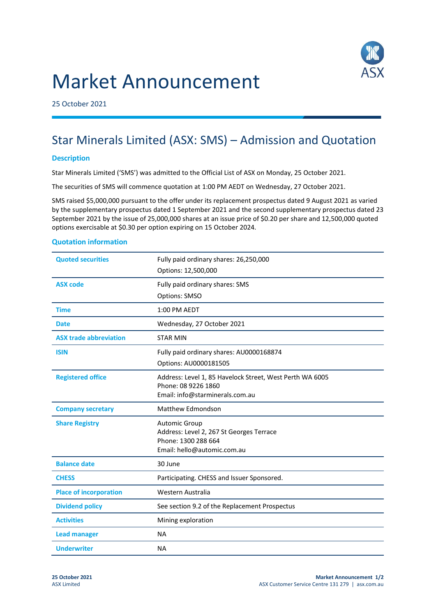



25 October 2021

# Star Minerals Limited (ASX: SMS) – Admission and Quotation

## **Description**

Star Minerals Limited ('SMS') was admitted to the Official List of ASX on Monday, 25 October 2021.

The securities of SMS will commence quotation at 1:00 PM AEDT on Wednesday, 27 October 2021.

SMS raised \$5,000,000 pursuant to the offer under its replacement prospectus dated 9 August 2021 as varied by the supplementary prospectus dated 1 September 2021 and the second supplementary prospectus dated 23 September 2021 by the issue of 25,000,000 shares at an issue price of \$0.20 per share and 12,500,000 quoted options exercisable at \$0.30 per option expiring on 15 October 2024.

### **Quotation information**

| <b>Quoted securities</b>      | Fully paid ordinary shares: 26,250,000                          |
|-------------------------------|-----------------------------------------------------------------|
|                               | Options: 12,500,000                                             |
| <b>ASX code</b>               | Fully paid ordinary shares: SMS                                 |
|                               | Options: SMSO                                                   |
| <b>Time</b>                   | 1:00 PM AEDT                                                    |
| Date                          | Wednesday, 27 October 2021                                      |
| <b>ASX trade abbreviation</b> | <b>STAR MIN</b>                                                 |
| <b>ISIN</b>                   | Fully paid ordinary shares: AU0000168874                        |
|                               | Options: AU0000181505                                           |
| <b>Registered office</b>      | Address: Level 1, 85 Havelock Street, West Perth WA 6005        |
|                               | Phone: 08 9226 1860<br>Email: info@starminerals.com.au          |
|                               |                                                                 |
| <b>Company secretary</b>      | <b>Matthew Edmondson</b>                                        |
| <b>Share Registry</b>         | <b>Automic Group</b>                                            |
|                               | Address: Level 2, 267 St Georges Terrace<br>Phone: 1300 288 664 |
|                               | Email: hello@automic.com.au                                     |
| <b>Balance date</b>           | 30 June                                                         |
| <b>CHESS</b>                  | Participating. CHESS and Issuer Sponsored.                      |
| <b>Place of incorporation</b> | Western Australia                                               |
| <b>Dividend policy</b>        | See section 9.2 of the Replacement Prospectus                   |
| <b>Activities</b>             | Mining exploration                                              |
| <b>Lead manager</b>           | <b>NA</b>                                                       |
| <b>Underwriter</b>            | <b>NA</b>                                                       |